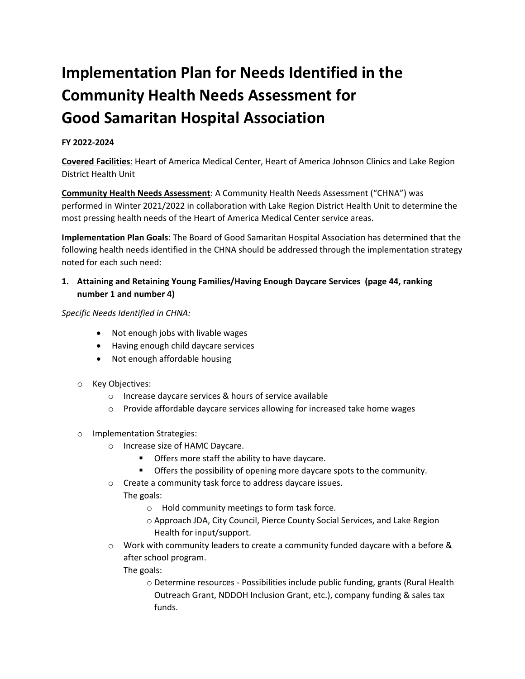## **Implementation Plan for Needs Identified in the Community Health Needs Assessment for Good Samaritan Hospital Association**

## **FY 2022-2024**

**Covered Facilities**: Heart of America Medical Center, Heart of America Johnson Clinics and Lake Region District Health Unit

**Community Health Needs Assessment**: A Community Health Needs Assessment ("CHNA") was performed in Winter 2021/2022 in collaboration with Lake Region District Health Unit to determine the most pressing health needs of the Heart of America Medical Center service areas.

**Implementation Plan Goals**: The Board of Good Samaritan Hospital Association has determined that the following health needs identified in the CHNA should be addressed through the implementation strategy noted for each such need:

**1. Attaining and Retaining Young Families/Having Enough Daycare Services (page 44, ranking number 1 and number 4)**

*Specific Needs Identified in CHNA:* 

- Not enough jobs with livable wages
- Having enough child daycare services
- Not enough affordable housing
- o Key Objectives:
	- o Increase daycare services & hours of service available
	- $\circ$  Provide affordable daycare services allowing for increased take home wages
- o Implementation Strategies:
	- o Increase size of HAMC Daycare.
		- **•** Offers more staff the ability to have daycare.
		- **•** Offers the possibility of opening more daycare spots to the community.
	- o Create a community task force to address daycare issues. The goals:
		- o Hold community meetings to form task force.
		- o Approach JDA, City Council, Pierce County Social Services, and Lake Region Health for input/support.
	- $\circ$  Work with community leaders to create a community funded daycare with a before & after school program.

The goals:

o Determine resources - Possibilities include public funding, grants (Rural Health Outreach Grant, NDDOH Inclusion Grant, etc.), company funding & sales tax funds.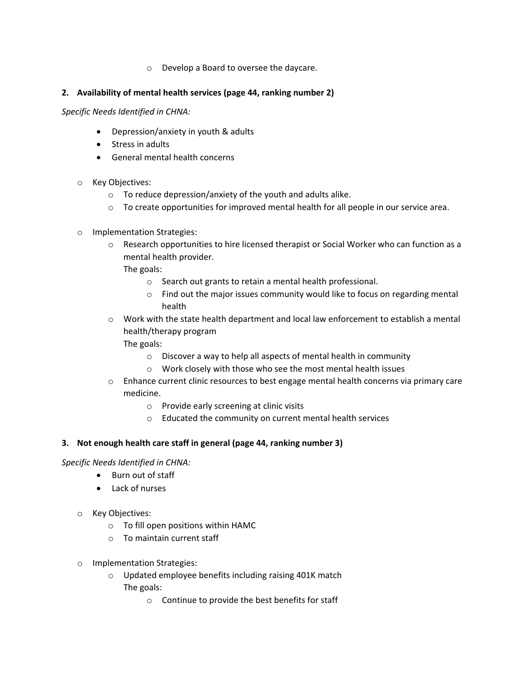o Develop a Board to oversee the daycare.

## **2. Availability of mental health services (page 44, ranking number 2)**

*Specific Needs Identified in CHNA:* 

- Depression/anxiety in youth & adults
- Stress in adults
- General mental health concerns
- o Key Objectives:
	- o To reduce depression/anxiety of the youth and adults alike.
	- $\circ$  To create opportunities for improved mental health for all people in our service area.
- o Implementation Strategies:
	- o Research opportunities to hire licensed therapist or Social Worker who can function as a mental health provider.

The goals:

- o Search out grants to retain a mental health professional.
- $\circ$  Find out the major issues community would like to focus on regarding mental health
- o Work with the state health department and local law enforcement to establish a mental health/therapy program

The goals:

- o Discover a way to help all aspects of mental health in community
- o Work closely with those who see the most mental health issues
- $\circ$  Enhance current clinic resources to best engage mental health concerns via primary care medicine.
	- o Provide early screening at clinic visits
	- o Educated the community on current mental health services

## **3. Not enough health care staff in general (page 44, ranking number 3)**

*Specific Needs Identified in CHNA:* 

- Burn out of staff
- Lack of nurses
- o Key Objectives:
	- o To fill open positions within HAMC
	- o To maintain current staff
- o Implementation Strategies:
	- o Updated employee benefits including raising 401K match The goals:
		- o Continue to provide the best benefits for staff